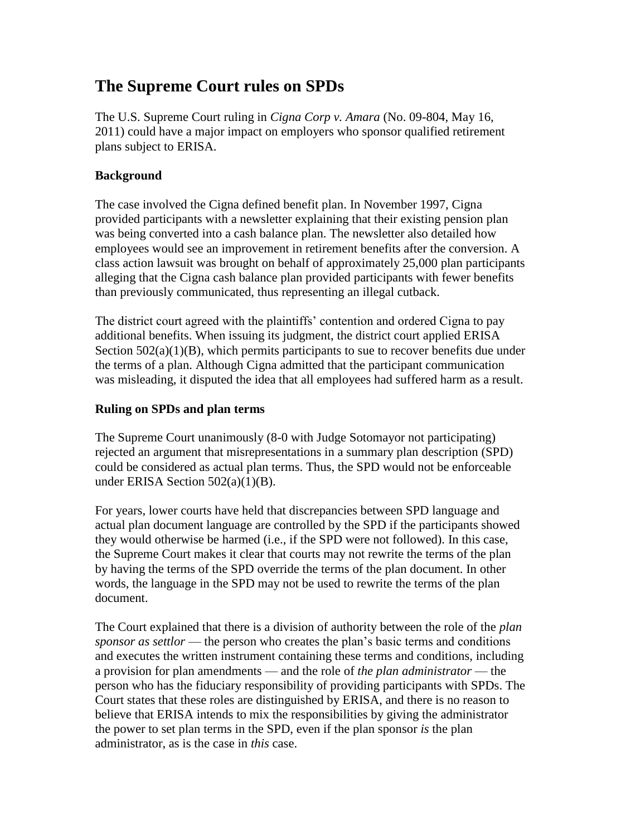# **The Supreme Court rules on SPDs**

The U.S. Supreme Court ruling in *Cigna Corp v. Amara* (No. 09-804, May 16, 2011) could have a major impact on employers who sponsor qualified retirement plans subject to ERISA.

## **Background**

The case involved the Cigna defined benefit plan. In November 1997, Cigna provided participants with a newsletter explaining that their existing pension plan was being converted into a cash balance plan. The newsletter also detailed how employees would see an improvement in retirement benefits after the conversion. A class action lawsuit was brought on behalf of approximately 25,000 plan participants alleging that the Cigna cash balance plan provided participants with fewer benefits than previously communicated, thus representing an illegal cutback.

The district court agreed with the plaintiffs' contention and ordered Cigna to pay additional benefits. When issuing its judgment, the district court applied ERISA Section  $502(a)(1)(B)$ , which permits participants to sue to recover benefits due under the terms of a plan. Although Cigna admitted that the participant communication was misleading, it disputed the idea that all employees had suffered harm as a result.

## **Ruling on SPDs and plan terms**

The Supreme Court unanimously (8-0 with Judge Sotomayor not participating) rejected an argument that misrepresentations in a summary plan description (SPD) could be considered as actual plan terms. Thus, the SPD would not be enforceable under ERISA Section 502(a)(1)(B).

For years, lower courts have held that discrepancies between SPD language and actual plan document language are controlled by the SPD if the participants showed they would otherwise be harmed (i.e., if the SPD were not followed). In this case, the Supreme Court makes it clear that courts may not rewrite the terms of the plan by having the terms of the SPD override the terms of the plan document. In other words, the language in the SPD may not be used to rewrite the terms of the plan document.

The Court explained that there is a division of authority between the role of the *plan sponsor as settlor* — the person who creates the plan's basic terms and conditions and executes the written instrument containing these terms and conditions, including a provision for plan amendments — and the role of *the plan administrator* — the person who has the fiduciary responsibility of providing participants with SPDs. The Court states that these roles are distinguished by ERISA, and there is no reason to believe that ERISA intends to mix the responsibilities by giving the administrator the power to set plan terms in the SPD, even if the plan sponsor *is* the plan administrator, as is the case in *this* case.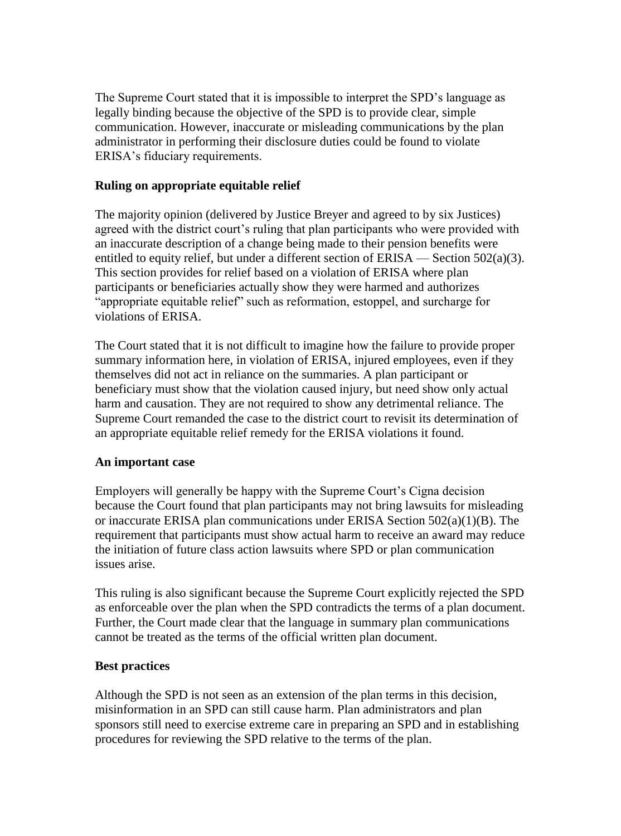The Supreme Court stated that it is impossible to interpret the SPD's language as legally binding because the objective of the SPD is to provide clear, simple communication. However, inaccurate or misleading communications by the plan administrator in performing their disclosure duties could be found to violate ERISA's fiduciary requirements.

### **Ruling on appropriate equitable relief**

The majority opinion (delivered by Justice Breyer and agreed to by six Justices) agreed with the district court's ruling that plan participants who were provided with an inaccurate description of a change being made to their pension benefits were entitled to equity relief, but under a different section of  $ERISA - Section 502(a)(3)$ . This section provides for relief based on a violation of ERISA where plan participants or beneficiaries actually show they were harmed and authorizes "appropriate equitable relief" such as reformation, estoppel, and surcharge for violations of ERISA.

The Court stated that it is not difficult to imagine how the failure to provide proper summary information here, in violation of ERISA, injured employees, even if they themselves did not act in reliance on the summaries. A plan participant or beneficiary must show that the violation caused injury, but need show only actual harm and causation. They are not required to show any detrimental reliance. The Supreme Court remanded the case to the district court to revisit its determination of an appropriate equitable relief remedy for the ERISA violations it found.

#### **An important case**

Employers will generally be happy with the Supreme Court's Cigna decision because the Court found that plan participants may not bring lawsuits for misleading or inaccurate ERISA plan communications under ERISA Section 502(a)(1)(B). The requirement that participants must show actual harm to receive an award may reduce the initiation of future class action lawsuits where SPD or plan communication issues arise.

This ruling is also significant because the Supreme Court explicitly rejected the SPD as enforceable over the plan when the SPD contradicts the terms of a plan document. Further, the Court made clear that the language in summary plan communications cannot be treated as the terms of the official written plan document.

## **Best practices**

Although the SPD is not seen as an extension of the plan terms in this decision, misinformation in an SPD can still cause harm. Plan administrators and plan sponsors still need to exercise extreme care in preparing an SPD and in establishing procedures for reviewing the SPD relative to the terms of the plan.